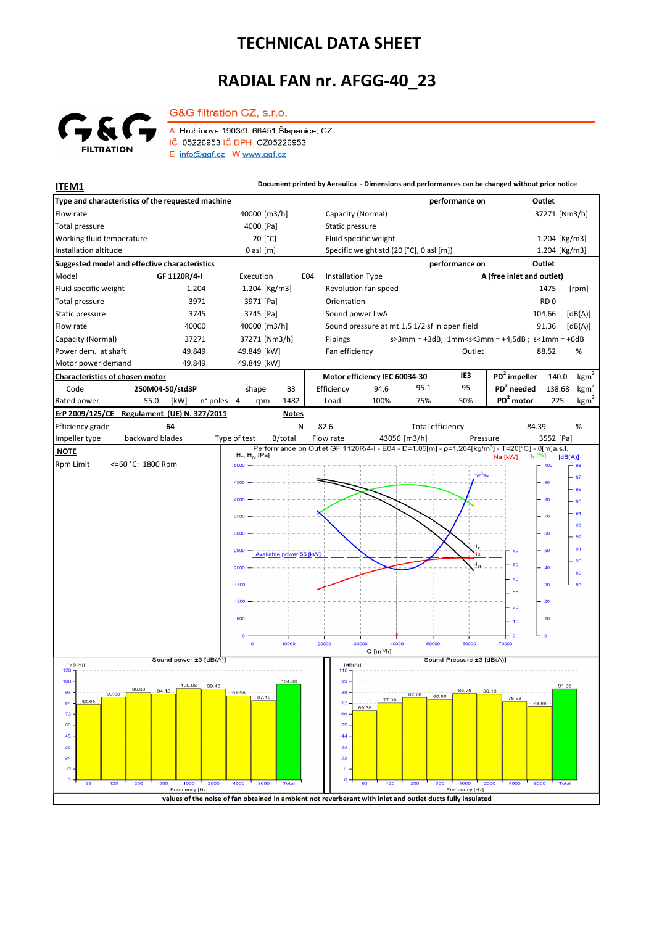## **TECHNICAL DATA SHEET**

## **RADIAL FAN nr. AFGG-40\_23**



G&G filtration CZ, s.r.o. A Hrubínova 1903/9, 66451 Šlapanice, CZ IČ 05226953 IČ DPH CZ05226953 E info@ggf.cz W www.ggf.cz

**ITEM1 ITEM1 Document printed by Aeraulica** - Dimensions and performances can be changed without prior notice

| Type and characteristics of the requested machine                                                          |                       |                         |                          |                                          |                                               | performance on                |                                                                                                            | Outlet                                                                     |                  |  |
|------------------------------------------------------------------------------------------------------------|-----------------------|-------------------------|--------------------------|------------------------------------------|-----------------------------------------------|-------------------------------|------------------------------------------------------------------------------------------------------------|----------------------------------------------------------------------------|------------------|--|
| Flow rate<br>40000 [m3/h]                                                                                  |                       |                         |                          | Capacity (Normal)                        |                                               |                               |                                                                                                            | 37271 [Nm3/h]                                                              |                  |  |
| <b>Total pressure</b><br>4000 [Pa]                                                                         |                       |                         |                          | Static pressure                          |                                               |                               |                                                                                                            |                                                                            |                  |  |
| Working fluid temperature<br>20 [°C]                                                                       |                       |                         | Fluid specific weight    |                                          |                                               |                               | 1.204 [Kg/m3]                                                                                              |                                                                            |                  |  |
| Installation altitude<br>$0$ asl $[m]$                                                                     |                       |                         |                          | Specific weight std (20 [°C], 0 asl [m]) |                                               |                               | 1.204 [Kg/m3]                                                                                              |                                                                            |                  |  |
| <b>Suggested model and effective characteristics</b>                                                       |                       |                         |                          |                                          |                                               | performance on                |                                                                                                            | Outlet                                                                     |                  |  |
| Model<br>GF 1120R/4-I                                                                                      | Execution             | E04                     | <b>Installation Type</b> |                                          |                                               | A (free inlet and outlet)     |                                                                                                            |                                                                            |                  |  |
| Fluid specific weight<br>1.204                                                                             | 1.204 [Kg/m3]         |                         |                          | Revolution fan speed                     |                                               |                               |                                                                                                            | 1475                                                                       | [rpm]            |  |
| <b>Total pressure</b><br>3971                                                                              | 3971 [Pa]             |                         | Orientation              |                                          |                                               |                               |                                                                                                            | RD <sub>0</sub>                                                            |                  |  |
| Static pressure<br>3745                                                                                    | 3745 [Pa]             |                         |                          | Sound power LwA                          |                                               |                               |                                                                                                            | 104.66                                                                     | [dB(A)]          |  |
| Flow rate<br>40000                                                                                         | 40000 [m3/h]          |                         |                          |                                          | Sound pressure at mt.1.5 1/2 sf in open field | 91.36<br>[dB(A)]              |                                                                                                            |                                                                            |                  |  |
| Capacity (Normal)<br>37271                                                                                 | 37271 [Nm3/h]         |                         | Pipings                  |                                          |                                               |                               |                                                                                                            | $s > 3$ mm = +3dB; 1mm <s<3mm +4,5db;="" =="" s<1mm="+6dB&lt;/td"></s<3mm> |                  |  |
| Power dem. at shaft<br>49.849                                                                              | 49.849 [kW]           |                         |                          | Fan efficiency<br>Outlet                 |                                               |                               |                                                                                                            | 88.52<br>%                                                                 |                  |  |
| Motor power demand<br>49.849                                                                               | 49.849 [kW]           |                         |                          |                                          |                                               |                               |                                                                                                            |                                                                            |                  |  |
| Characteristics of chosen motor                                                                            |                       |                         |                          | Motor efficiency IEC 60034-30            |                                               | IE3                           | $PD2$ impeller                                                                                             | 140.0                                                                      | kgm <sup>2</sup> |  |
| Code<br>250M04-50/std3P                                                                                    | shape                 | B <sub>3</sub>          | Efficiency               | 94.6                                     | 95.1                                          | 95                            | PD <sup>2</sup> needed                                                                                     | 138.68                                                                     | kgm <sup>2</sup> |  |
| Rated power<br>55.0<br>[kW]                                                                                | n° poles<br>4<br>rpm  | 1482                    | Load                     | 100%                                     | 75%                                           | 50%                           | PD <sup>2</sup> motor                                                                                      | 225                                                                        | $\text{kgm}^2$   |  |
| ErP 2009/125/CE<br>Regulament (UE) N. 327/2011                                                             |                       | <b>Notes</b>            |                          |                                          |                                               |                               |                                                                                                            |                                                                            |                  |  |
| Efficiency grade<br>64                                                                                     |                       | N                       | 82.6                     |                                          |                                               | <b>Total efficiency</b>       | 84.39                                                                                                      |                                                                            | %                |  |
| backward blades<br>Impeller type                                                                           | Type of test          | B/total                 | Flow rate                |                                          | 43056 [m3/h]                                  | Pressure                      | Performance on Outlet GF 1120R/4-I - E04 - D=1.06[m] - p=1.204[kg/m <sup>3</sup> ] - T=20[°C] - 0[m]a.s.l. | 3552 [Pa]                                                                  |                  |  |
| <b>NOTE</b>                                                                                                | $H_T$ , $H_{St}$ [Pa] |                         |                          |                                          |                                               |                               | η <sub>τ</sub> [%]<br>Na [kW]                                                                              | [dB(A)]                                                                    |                  |  |
| <b>Rpm Limit</b><br><=60 °C: 1800 Rpm                                                                      | 5000                  |                         |                          |                                          |                                               | $L_{w}A_{eq}$                 |                                                                                                            | 100                                                                        | 98               |  |
|                                                                                                            | 4500                  |                         |                          |                                          |                                               |                               |                                                                                                            | 90                                                                         | 97               |  |
|                                                                                                            | 4000                  |                         |                          |                                          |                                               |                               |                                                                                                            | 80                                                                         | 96<br>95         |  |
|                                                                                                            |                       |                         |                          |                                          |                                               |                               |                                                                                                            |                                                                            | 94               |  |
|                                                                                                            | 3500                  |                         |                          |                                          |                                               |                               |                                                                                                            | - 70                                                                       | 93               |  |
|                                                                                                            | 3000                  |                         |                          |                                          |                                               |                               |                                                                                                            | 60                                                                         | 92               |  |
|                                                                                                            | 2500                  |                         |                          |                                          |                                               | н,                            | 60                                                                                                         | 50                                                                         | 91               |  |
|                                                                                                            |                       | Available power 55 [kW] |                          |                                          |                                               | Na<br>$H_e$                   | 50                                                                                                         |                                                                            | 90               |  |
|                                                                                                            | 2000                  |                         |                          |                                          |                                               |                               |                                                                                                            | 40                                                                         | 89               |  |
|                                                                                                            | 1500                  |                         |                          |                                          |                                               |                               | 40                                                                                                         | 30                                                                         | 88               |  |
|                                                                                                            | 1000                  |                         |                          |                                          |                                               |                               | 30                                                                                                         | $-20$                                                                      |                  |  |
|                                                                                                            |                       |                         |                          |                                          |                                               |                               | 20                                                                                                         |                                                                            |                  |  |
|                                                                                                            | 500                   |                         |                          |                                          |                                               |                               | 10                                                                                                         | $-10$                                                                      |                  |  |
|                                                                                                            | o                     |                         |                          |                                          |                                               |                               | ە جا<br>$\circ$                                                                                            |                                                                            |                  |  |
|                                                                                                            | $\circ$               | 10000                   | 20000                    | 30000<br>$Q$ [m <sup>3</sup> /h]         | 40000<br>50000                                | 60000                         | 70000                                                                                                      |                                                                            |                  |  |
| Sound power ±3 [dB(A)]<br>[dB(A)]                                                                          |                       |                         |                          | Sound Pressure ±3 [dB(A)]<br>[dB(A)]     |                                               |                               |                                                                                                            |                                                                            |                  |  |
| 120                                                                                                        |                       |                         |                          |                                          |                                               |                               |                                                                                                            |                                                                            |                  |  |
| $108 -$<br>100.08<br>94.18                                                                                 | 99.48                 | 104.66                  | 99                       |                                          |                                               | 86.78                         | 86.18                                                                                                      | 91.36                                                                      |                  |  |
| $96 -$<br>90.68<br>82.68<br>$84 -$                                                                         | 91:98<br>87.18        |                         | $88 -$<br>77             | 77.38                                    | 82.78                                         | 80.88                         | 78.68<br>73.88                                                                                             |                                                                            |                  |  |
| 72.                                                                                                        |                       |                         | 66                       | 69.38                                    |                                               |                               |                                                                                                            |                                                                            |                  |  |
| 60                                                                                                         |                       |                         | 55                       |                                          |                                               |                               |                                                                                                            |                                                                            |                  |  |
| 48                                                                                                         |                       |                         | 44                       |                                          |                                               |                               |                                                                                                            |                                                                            |                  |  |
| 36                                                                                                         |                       |                         | 33                       |                                          |                                               |                               |                                                                                                            |                                                                            |                  |  |
| 24                                                                                                         |                       |                         | 22                       |                                          |                                               |                               |                                                                                                            |                                                                            |                  |  |
| 12                                                                                                         |                       |                         | o                        |                                          |                                               |                               |                                                                                                            |                                                                            |                  |  |
| 125<br>250<br>500<br>1000<br>63<br>Frequency [Hz]                                                          | 2000<br>4000<br>8000  | <b>Total</b>            |                          | 63<br>125                                | 250                                           | 1000<br>500<br>Frequency [Hz] | 2000<br>4000<br>8000                                                                                       | Total                                                                      |                  |  |
| values of the noise of fan obtained in ambient not reverberant with inlet and outlet ducts fully insulated |                       |                         |                          |                                          |                                               |                               |                                                                                                            |                                                                            |                  |  |